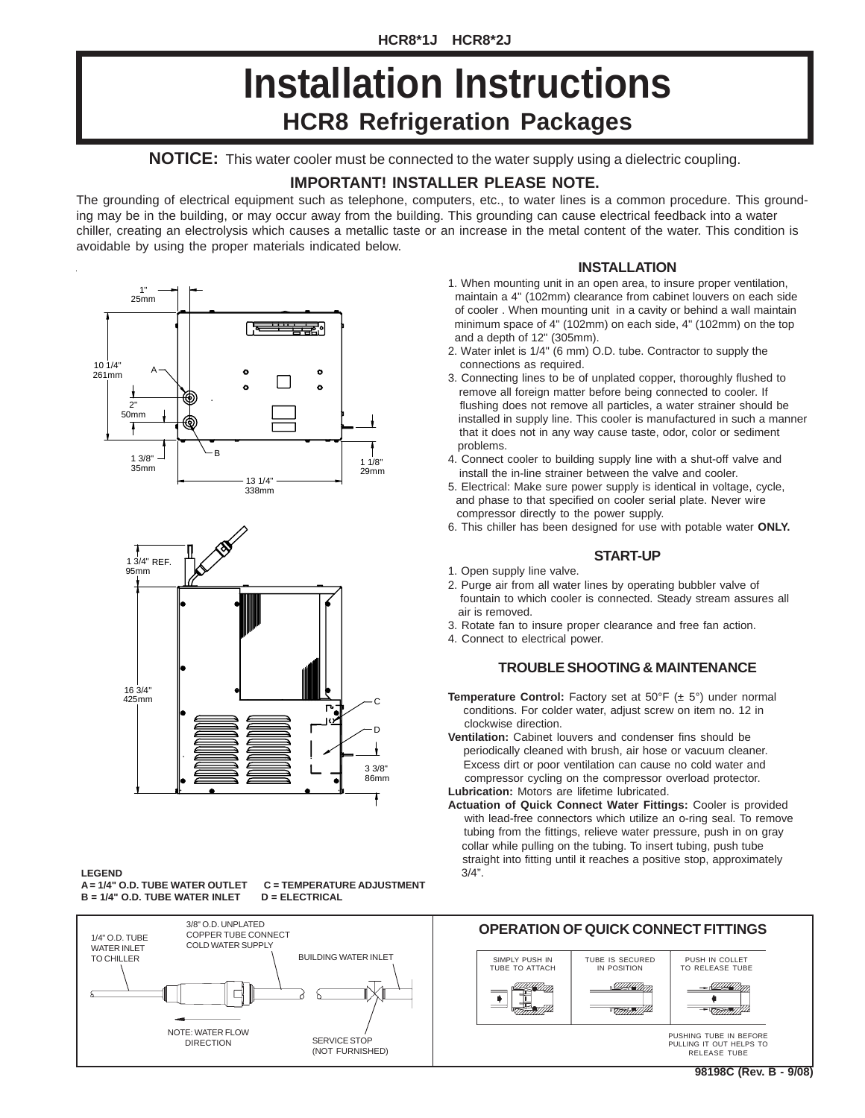# **HCR8 Refrigeration Packages Installation Instructions**

**NOTICE:** This water cooler must be connected to the water supply using a dielectric coupling.

#### **IMPORTANT! INSTALLER PLEASE NOTE.**

The grounding of electrical equipment such as telephone, computers, etc., to water lines is a common procedure. This grounding may be in the building, or may occur away from the building. This grounding can cause electrical feedback into a water chiller, creating an electrolysis which causes a metallic taste or an increase in the metal content of the water. This condition is avoidable by using the proper materials indicated below.





### **LEGEND**

**B = 1/4" O.D. TUBE WATER INLET D = ELECTRICAL**

**A = 1/4" O.D. TUBE WATER OUTLET C = TEMPERATURE ADJUSTMENT**



#### **INSTALLATION**

- 1. When mounting unit in an open area, to insure proper ventilation, maintain a 4" (102mm) clearance from cabinet louvers on each side of cooler . When mounting unit in a cavity or behind a wall maintain minimum space of 4" (102mm) on each side, 4" (102mm) on the top and a depth of 12" (305mm).
- 2. Water inlet is 1/4" (6 mm) O.D. tube. Contractor to supply the connections as required.
- 3. Connecting lines to be of unplated copper, thoroughly flushed to remove all foreign matter before being connected to cooler. If flushing does not remove all particles, a water strainer should be installed in supply line. This cooler is manufactured in such a manner that it does not in any way cause taste, odor, color or sediment problems.
- 4. Connect cooler to building supply line with a shut-off valve and install the in-line strainer between the valve and cooler.
- 5. Electrical: Make sure power supply is identical in voltage, cycle, and phase to that specified on cooler serial plate. Never wire compressor directly to the power supply.
- 6. This chiller has been designed for use with potable water **ONLY.**

#### **START-UP**

- 1. Open supply line valve.
- 2. Purge air from all water lines by operating bubbler valve of fountain to which cooler is connected. Steady stream assures all air is removed.
- 3. Rotate fan to insure proper clearance and free fan action.
- 4. Connect to electrical power.

#### **TROUBLE SHOOTING & MAINTENANCE**

- **Temperature Control:** Factory set at 50°F (± 5°) under normal conditions. For colder water, adjust screw on item no. 12 in clockwise direction.
- **Ventilation:** Cabinet louvers and condenser fins should be periodically cleaned with brush, air hose or vacuum cleaner. Excess dirt or poor ventilation can cause no cold water and compressor cycling on the compressor overload protector. **Lubrication:** Motors are lifetime lubricated.
- **Actuation of Quick Connect Water Fittings:** Cooler is provided with lead-free connectors which utilize an o-ring seal. To remove tubing from the fittings, relieve water pressure, push in on gray collar while pulling on the tubing. To insert tubing, push tube straight into fitting until it reaches a positive stop, approximately 3/4".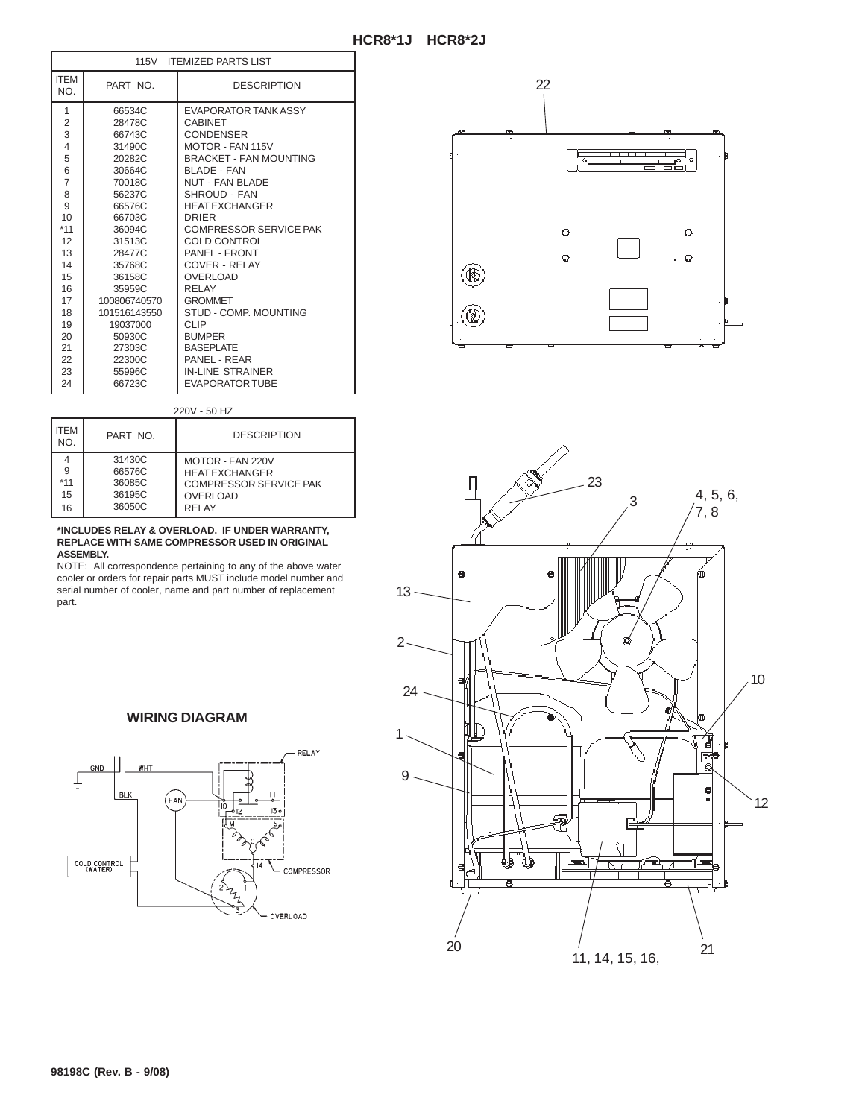|                         | 115V ITEMIZED PARTS LIST |                               |  |
|-------------------------|--------------------------|-------------------------------|--|
| <b>ITEM</b><br>NO.      | PART NO.                 | <b>DESCRIPTION</b>            |  |
| 1                       | 66534C                   | EVAPORATOR TANK ASSY          |  |
| $\overline{c}$          | 28478C                   | <b>CARINET</b>                |  |
| 3                       | 66743C                   | <b>CONDENSER</b>              |  |
| $\overline{\mathbf{4}}$ | 31490C                   | MOTOR - FAN 115V              |  |
| 5                       | 20282C                   | <b>BRACKET - FAN MOUNTING</b> |  |
| 6                       | 30664C                   | <b>BI ADF - FAN</b>           |  |
| $\overline{7}$          | 70018C                   | NUT - FAN BLADE               |  |
| 8                       | 56237C                   | SHROUD - FAN                  |  |
| 9                       | 66576C                   | <b>HEAT EXCHANGER</b>         |  |
| 10                      | 66703C                   | DRIFR                         |  |
| $*11$                   | 36094C                   | <b>COMPRESSOR SERVICE PAK</b> |  |
| 12                      | 31513C                   | COLD CONTROL                  |  |
| 13                      | 28477C                   | PANEL - FRONT                 |  |
| 14                      | 35768C                   | COVER - REI AY                |  |
| 15                      | 36158C                   | <b>OVERLOAD</b>               |  |
| 16                      | 35959C                   | RFI AY                        |  |
| 17                      | 100806740570             | <b>GROMMET</b>                |  |
| 18                      | 101516143550             | STUD - COMP. MOUNTING         |  |
| 19                      | 19037000                 | CLIP                          |  |
| 20                      | 50930C                   | <b>BUMPER</b>                 |  |
| 21                      | 27303C                   | <b>BASEPLATE</b>              |  |
| 22                      | 22300C                   | PANFI - RFAR                  |  |
| 23                      | 55996C                   | <b>IN-LINE STRAINER</b>       |  |
| 24                      | 66723C                   | <b>EVAPORATOR TUBE</b>        |  |

220V - 50 HZ

| <b>ITFM</b><br>NO.   | PART NO.                                       | <b>DESCRIPTION</b>                                                                                            |
|----------------------|------------------------------------------------|---------------------------------------------------------------------------------------------------------------|
| 9<br>*11<br>15<br>16 | 31430C<br>66576C<br>36085C<br>36195C<br>36050C | MOTOR - FAN 220V<br><b>HEAT EXCHANGER</b><br><b>COMPRESSOR SERVICE PAK</b><br><b>OVERLOAD</b><br><b>RELAY</b> |

#### **\*INCLUDES RELAY & OVERLOAD. IF UNDER WARRANTY, REPLACE WITH SAME COMPRESSOR USED IN ORIGINAL ASSEMBLY.**

NOTE: All correspondence pertaining to any of the above water cooler or orders for repair parts MUST include model number and serial number of cooler, name and part number of replacement part.



**WIRING DIAGRAM**



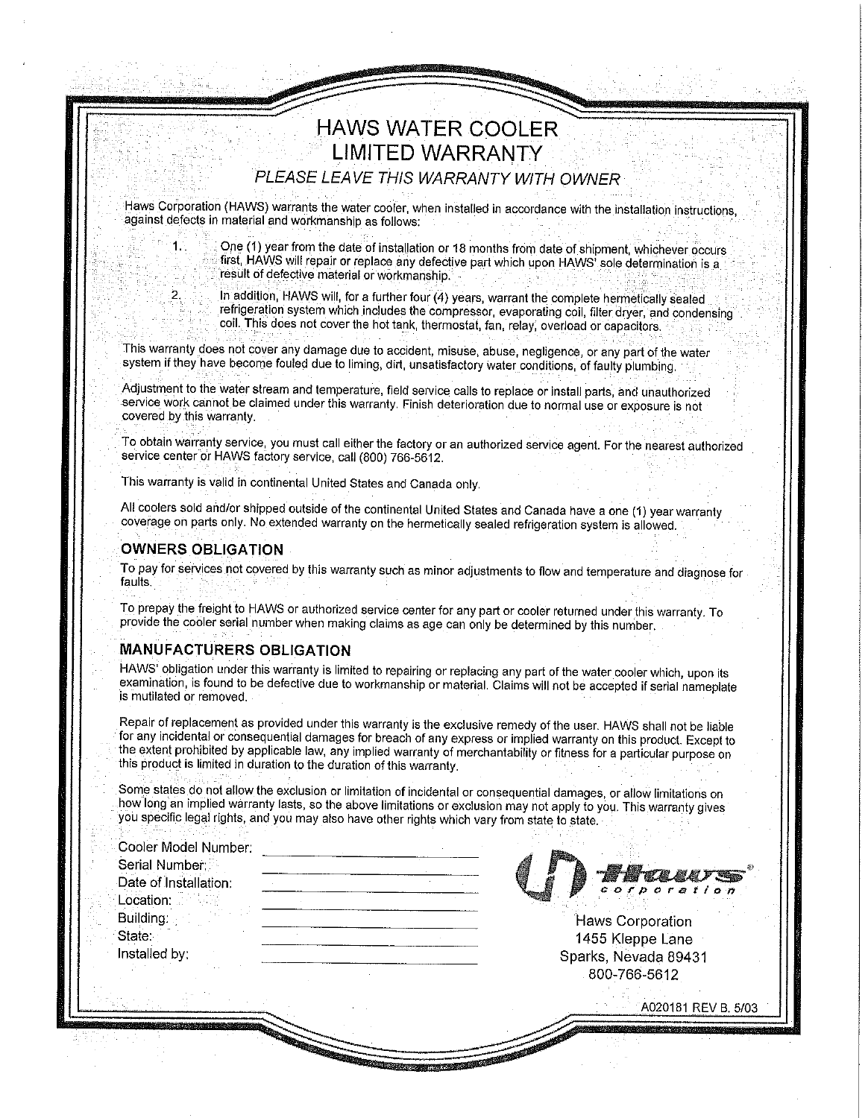## **HAWS WATER COOLER LIMITED WARRANTY**

PLEASE LEAVE THIS WARRANTY WITH OWNER

Haws Corporation (HAWS) warrants the water cooler, when installed in accordance with the installation instructions, against defects in material and workmanship as follows:

> One (1) year from the date of installation or 18 months from date of shipment, whichever occurs first, HAWS will repair or replace any defective part which upon HAWS' sole determination is a result of defective material or workmanship.

 $\mathbf{2}$ 

1.

In addition, HAWS will, for a further four (4) years, warrant the complete hermetically sealed refrigeration system which includes the compressor, evaporating coil, filter dryer, and condensing coil. This does not cover the hot tank, thermostat, fan, relay, overload or capacitors.

This warranty does not cover any damage due to accident, misuse, abuse, negligence, or any part of the water system if they have become fouled due to liming, dirt, unsatisfactory water conditions, of faulty plumbing.

Adjustment to the water stream and temperature, field service calls to replace or install parts, and unauthorized service work cannot be claimed under this warranty. Finish deterioration due to normal use or exposure is not covered by this warranty.

To obtain warranty service, you must call either the factory or an authorized service agent. For the nearest authorized service center or HAWS factory service, call (800) 766-5612.

This warranty is valid in continental United States and Canada only.

All coolers sold and/or shipped outside of the continental United States and Canada have a one (1) year warranty coverage on parts only. No extended warranty on the hermetically sealed refrigeration system is allowed.

#### **OWNERS OBLIGATION**

To pay for services not covered by this warranty such as minor adjustments to flow and temperature and diagnose for faults.

To prepay the freight to HAWS or authorized service center for any part or cooler returned under this warranty. To provide the cooler serial number when making claims as age can only be determined by this number.

#### **MANUFACTURERS OBLIGATION**

HAWS' obligation under this warranty is limited to repairing or replacing any part of the water cooler which, upon its examination, is found to be defective due to workmanship or material. Claims will not be accepted if serial nameplate is mutilated or removed.

Repair of replacement as provided under this warranty is the exclusive remedy of the user. HAWS shall not be liable for any incidental or consequential damages for breach of any express or implied warranty on this product. Except to the extent prohibited by applicable law, any implied warranty of merchantability or fitness for a particular purpose on this product is limited in duration to the duration of this warranty.

Some states do not allow the exclusion or limitation of incidental or consequential damages, or allow limitations on how long an implied warranty lasts, so the above limitations or exclusion may not apply to you. This warranty gives you specific legal rights, and you may also have other rights which vary from state to state.

| Serial Number        |  |
|----------------------|--|
| Date of Installation |  |
| <b>Location:</b>     |  |
| Building.            |  |
| State:               |  |
| Installed by:        |  |

**Haws Corporation** 1455 Kleppe Lane Sparks, Nevada 89431 800-766-5612

A020181 REV B, 5/03